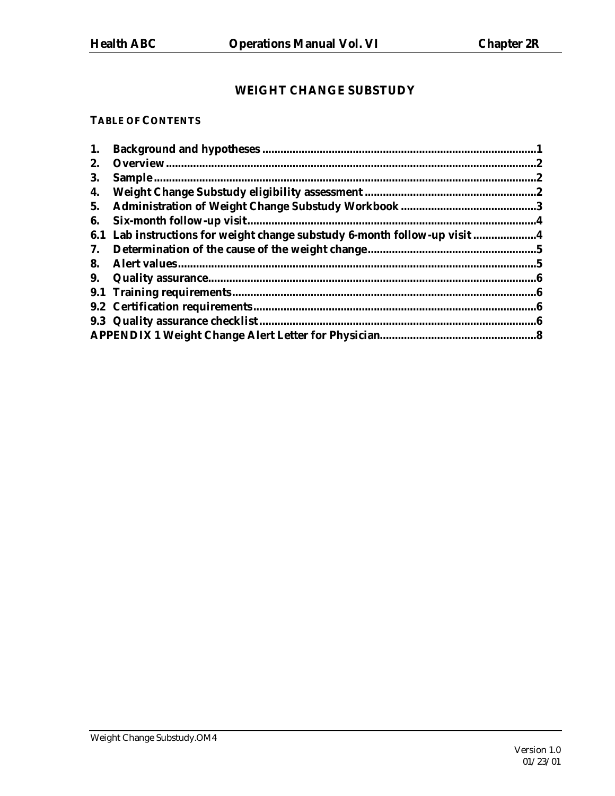# **WEIGHT CHANGE SUBSTUDY**

#### **TABLE OF CONTENTS**

| 1. |                                                                           |  |
|----|---------------------------------------------------------------------------|--|
| 2. |                                                                           |  |
| 3. |                                                                           |  |
| 4. |                                                                           |  |
| 5. |                                                                           |  |
| 6. |                                                                           |  |
|    | 6.1 Lab instructions for weight change substudy 6-month follow-up visit 4 |  |
| 7. |                                                                           |  |
| 8. |                                                                           |  |
| 9. |                                                                           |  |
|    |                                                                           |  |
|    |                                                                           |  |
|    | 9.3 Quality assurance checklist.                                          |  |
|    |                                                                           |  |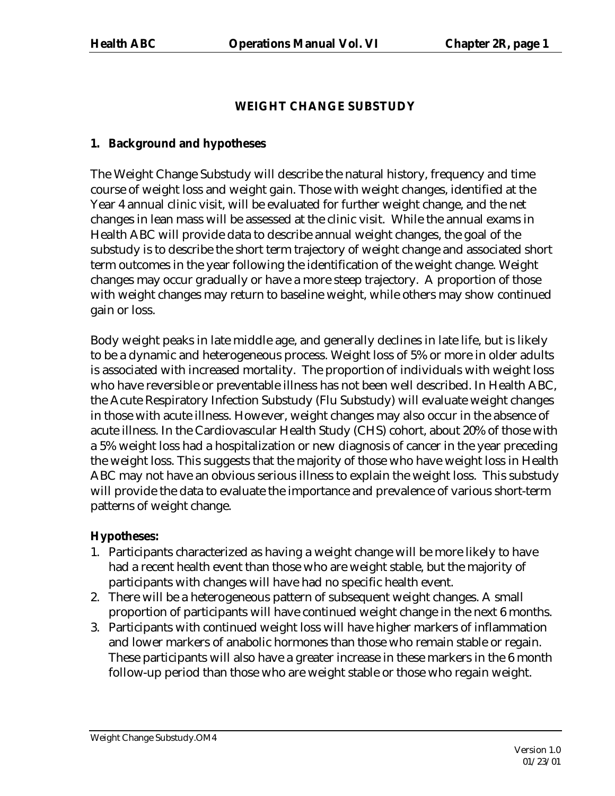# **WEIGHT CHANGE SUBSTUDY**

## **1. Background and hypotheses**

The Weight Change Substudy will describe the natural history, frequency and time course of weight loss and weight gain. Those with weight changes, identified at the Year 4 annual clinic visit, will be evaluated for further weight change, and the net changes in lean mass will be assessed at the clinic visit. While the annual exams in Health ABC will provide data to describe annual weight changes, the goal of the substudy is to describe the short term trajectory of weight change and associated short term outcomes in the year following the identification of the weight change. Weight changes may occur gradually or have a more steep trajectory. A proportion of those with weight changes may return to baseline weight, while others may show continued gain or loss.

Body weight peaks in late middle age, and generally declines in late life, but is likely to be a dynamic and heterogeneous process. Weight loss of 5% or more in older adults is associated with increased mortality. The proportion of individuals with weight loss who have reversible or preventable illness has not been well described. In Health ABC, the Acute Respiratory Infection Substudy (Flu Substudy) will evaluate weight changes in those with acute illness. However, weight changes may also occur in the absence of acute illness. In the Cardiovascular Health Study (CHS) cohort, about 20% of those with a 5% weight loss had a hospitalization or new diagnosis of cancer in the year preceding the weight loss. This suggests that the majority of those who have weight loss in Health ABC may not have an obvious serious illness to explain the weight loss. This substudy will provide the data to evaluate the importance and prevalence of various short-term patterns of weight change.

# **Hypotheses:**

- 1. Participants characterized as having a weight change will be more likely to have had a recent health event than those who are weight stable, but the majority of participants with changes will have had no specific health event.
- 2. There will be a heterogeneous pattern of subsequent weight changes. A small proportion of participants will have continued weight change in the next 6 months.
- 3. Participants with continued weight loss will have higher markers of inflammation and lower markers of anabolic hormones than those who remain stable or regain. These participants will also have a greater increase in these markers in the 6 month follow-up period than those who are weight stable or those who regain weight.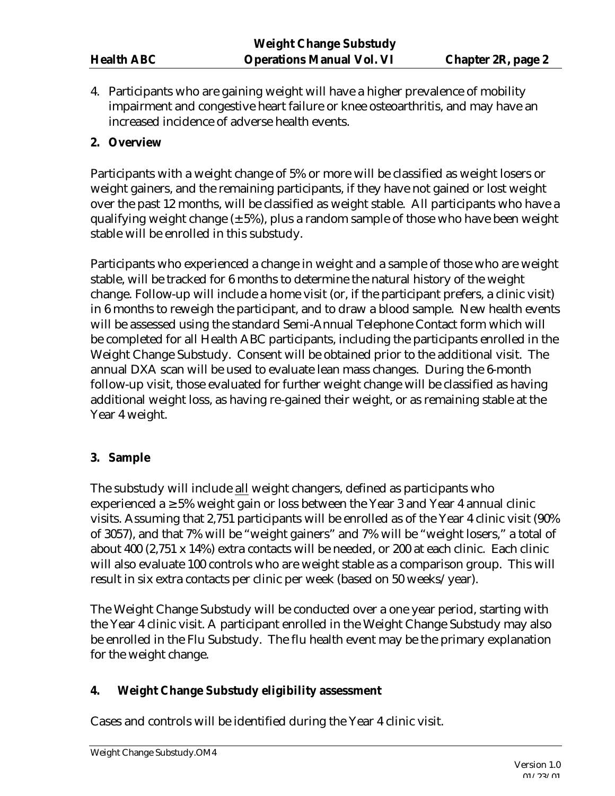4. Participants who are gaining weight will have a higher prevalence of mobility impairment and congestive heart failure or knee osteoarthritis, and may have an increased incidence of adverse health events.

## **2. Overview**

Participants with a weight change of 5% or more will be classified as weight losers or weight gainers, and the remaining participants, if they have not gained or lost weight over the past 12 months, will be classified as weight stable. All participants who have a qualifying weight change  $(\pm 5\%)$ , plus a random sample of those who have been weight stable will be enrolled in this substudy.

Participants who experienced a change in weight and a sample of those who are weight stable, will be tracked for 6 months to determine the natural history of the weight change. Follow-up will include a home visit (or, if the participant prefers, a clinic visit) in 6 months to reweigh the participant, and to draw a blood sample. New health events will be assessed using the standard Semi-Annual Telephone Contact form which will be completed for all Health ABC participants, including the participants enrolled in the Weight Change Substudy. Consent will be obtained prior to the additional visit. The annual DXA scan will be used to evaluate lean mass changes. During the 6-month follow-up visit, those evaluated for further weight change will be classified as having additional weight loss, as having re-gained their weight, or as remaining stable at the Year 4 weight.

# **3. Sample**

The substudy will include all weight changers, defined as participants who experienced a  $\geq$  5% weight gain or loss between the Year 3 and Year 4 annual clinic visits. Assuming that 2,751 participants will be enrolled as of the Year 4 clinic visit (90% of 3057), and that 7% will be "weight gainers" and 7% will be "weight losers," a total of about 400 (2,751 x 14%) extra contacts will be needed, or 200 at each clinic. Each clinic will also evaluate 100 controls who are weight stable as a comparison group. This will result in six extra contacts per clinic per week (based on 50 weeks/year).

The Weight Change Substudy will be conducted over a one year period, starting with the Year 4 clinic visit. A participant enrolled in the Weight Change Substudy may also be enrolled in the Flu Substudy. The flu health event may be the primary explanation for the weight change.

### **4. Weight Change Substudy eligibility assessment**

Cases and controls will be identified during the Year 4 clinic visit.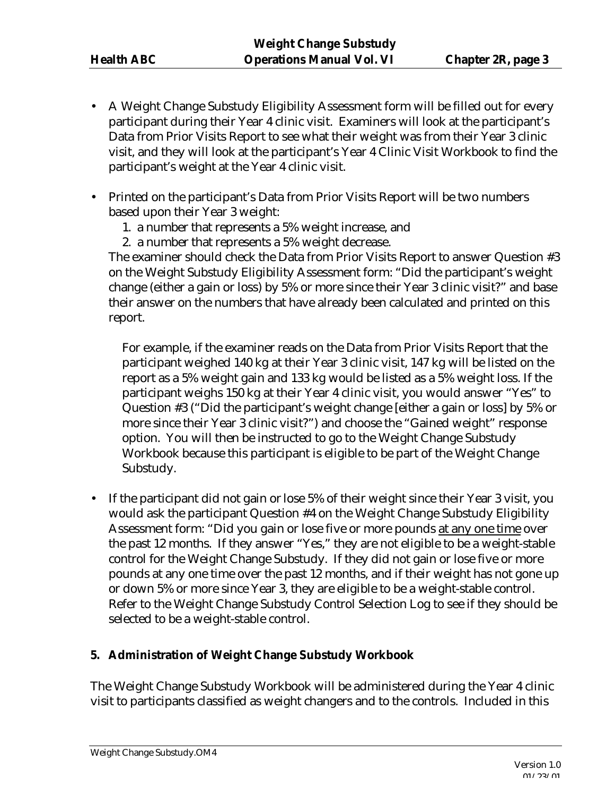- A Weight Change Substudy Eligibility Assessment form will be filled out for every participant during their Year 4 clinic visit. Examiners will look at the participant's Data from Prior Visits Report to see what their weight was from their Year 3 clinic visit, and they will look at the participant's Year 4 Clinic Visit Workbook to find the participant's weight at the Year 4 clinic visit.
- Printed on the participant's Data from Prior Visits Report will be two numbers based upon their Year 3 weight:
	- 1. a number that represents a 5% weight increase, and
	- 2. a number that represents a 5% weight decrease.

The examiner should check the Data from Prior Visits Report to answer Question #3 on the Weight Substudy Eligibility Assessment form: "Did the participant's weight change (either a gain or loss) by 5% or more since their Year 3 clinic visit?" and base their answer on the numbers that have already been calculated and printed on this report.

For example, if the examiner reads on the Data from Prior Visits Report that the participant weighed 140 kg at their Year 3 clinic visit, 147 kg will be listed on the report as a 5% weight gain and 133 kg would be listed as a 5% weight loss. If the participant weighs 150 kg at their Year 4 clinic visit, you would answer "Yes" to Question #3 ("Did the participant's weight change [either a gain or loss] by 5% or more since their Year 3 clinic visit?") and choose the "Gained weight" response option. You will then be instructed to go to the Weight Change Substudy Workbook because this participant is eligible to be part of the Weight Change Substudy.

• If the participant did not gain or lose 5% of their weight since their Year 3 visit, you would ask the participant Question #4 on the Weight Change Substudy Eligibility Assessment form: "Did you gain or lose five or more pounds at any one time over the past 12 months. If they answer "Yes," they are not eligible to be a weight-stable control for the Weight Change Substudy. If they did not gain or lose five or more pounds at any one time over the past 12 months, and if their weight has not gone up or down 5% or more since Year 3, they are eligible to be a weight-stable control. Refer to the Weight Change Substudy Control Selection Log to see if they should be selected to be a weight-stable control.

# **5. Administration of Weight Change Substudy Workbook**

The Weight Change Substudy Workbook will be administered during the Year 4 clinic visit to participants classified as weight changers and to the controls. Included in this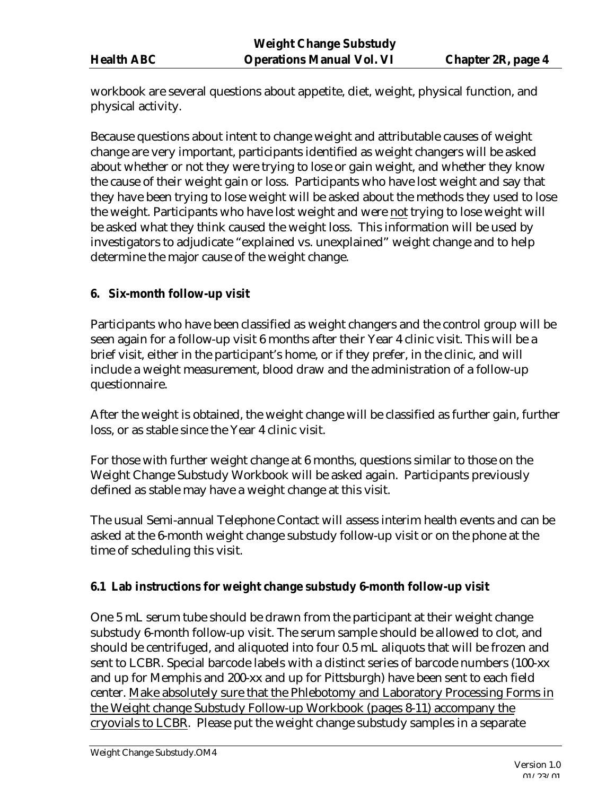workbook are several questions about appetite, diet, weight, physical function, and physical activity.

Because questions about intent to change weight and attributable causes of weight change are very important, participants identified as weight changers will be asked about whether or not they were trying to lose or gain weight, and whether they know the cause of their weight gain or loss. Participants who have lost weight and say that they have been trying to lose weight will be asked about the methods they used to lose the weight. Participants who have lost weight and were not trying to lose weight will be asked what they think caused the weight loss. This information will be used by investigators to adjudicate "explained vs. unexplained" weight change and to help determine the major cause of the weight change.

## **6. Six-month follow-up visit**

Participants who have been classified as weight changers and the control group will be seen again for a follow-up visit 6 months after their Year 4 clinic visit. This will be a brief visit, either in the participant's home, or if they prefer, in the clinic, and will include a weight measurement, blood draw and the administration of a follow-up questionnaire.

After the weight is obtained, the weight change will be classified as further gain, further loss, or as stable since the Year 4 clinic visit.

For those with further weight change at 6 months, questions similar to those on the Weight Change Substudy Workbook will be asked again. Participants previously defined as stable may have a weight change at this visit.

The usual Semi-annual Telephone Contact will assess interim health events and can be asked at the 6-month weight change substudy follow-up visit or on the phone at the time of scheduling this visit.

### **6.1 Lab instructions for weight change substudy 6-month follow-up visit**

One 5 mL serum tube should be drawn from the participant at their weight change substudy 6-month follow-up visit. The serum sample should be allowed to clot, and should be centrifuged, and aliquoted into four 0.5 mL aliquots that will be frozen and sent to LCBR. Special barcode labels with a distinct series of barcode numbers (100-xx and up for Memphis and 200-xx and up for Pittsburgh) have been sent to each field center. Make absolutely sure that the Phlebotomy and Laboratory Processing Forms in the Weight change Substudy Follow-up Workbook (pages 8-11) accompany the cryovials to LCBR. Please put the weight change substudy samples in a separate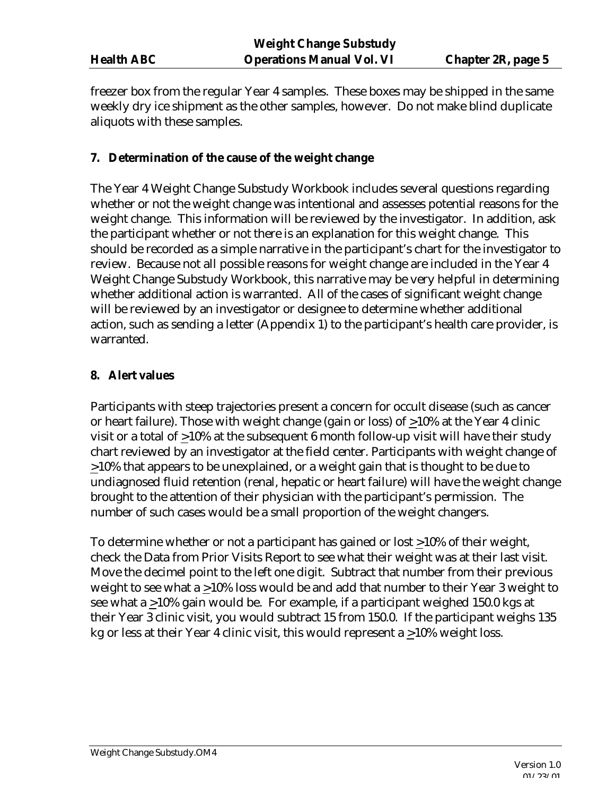freezer box from the regular Year 4 samples. These boxes may be shipped in the same weekly dry ice shipment as the other samples, however. Do not make blind duplicate aliquots with these samples.

### **7. Determination of the cause of the weight change**

The Year 4 Weight Change Substudy Workbook includes several questions regarding whether or not the weight change was intentional and assesses potential reasons for the weight change. This information will be reviewed by the investigator. In addition, ask the participant whether or not there is an explanation for this weight change. This should be recorded as a simple narrative in the participant's chart for the investigator to review. Because not all possible reasons for weight change are included in the Year 4 Weight Change Substudy Workbook, this narrative may be very helpful in determining whether additional action is warranted. All of the cases of significant weight change will be reviewed by an investigator or designee to determine whether additional action, such as sending a letter (Appendix 1) to the participant's health care provider, is warranted.

## **8. Alert values**

Participants with steep trajectories present a concern for occult disease (such as cancer or heart failure). Those with weight change (gain or loss) of >10% at the Year 4 clinic visit or a total of >10% at the subsequent 6 month follow-up visit will have their study chart reviewed by an investigator at the field center. Participants with weight change of >10% that appears to be unexplained, or a weight gain that is thought to be due to undiagnosed fluid retention (renal, hepatic or heart failure) will have the weight change brought to the attention of their physician with the participant's permission. The number of such cases would be a small proportion of the weight changers.

To determine whether or not a participant has gained or lost >10% of their weight, check the Data from Prior Visits Report to see what their weight was at their last visit. Move the decimel point to the left one digit. Subtract that number from their previous weight to see what a >10% loss would be and add that number to their Year 3 weight to see what a >10% gain would be. For example, if a participant weighed 150.0 kgs at their Year 3 clinic visit, you would subtract 15 from 150.0. If the participant weighs 135 kg or less at their Year 4 clinic visit, this would represent a >10% weight loss.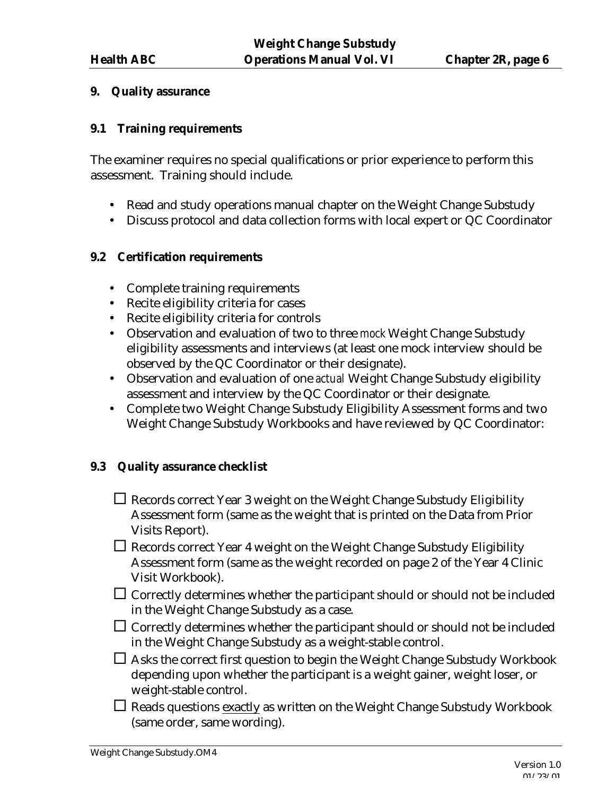#### **9. Quality assurance**

#### **9.1 Training requirements**

The examiner requires no special qualifications or prior experience to perform this assessment. Training should include.

- Read and study operations manual chapter on the Weight Change Substudy
- Discuss protocol and data collection forms with local expert or QC Coordinator

#### **9.2 Certification requirements**

- Complete training requirements
- Recite eligibility criteria for cases
- Recite eligibility criteria for controls
- Observation and evaluation of two to three *mock* Weight Change Substudy eligibility assessments and interviews (at least one mock interview should be observed by the QC Coordinator or their designate).
- Observation and evaluation of one *actual* Weight Change Substudy eligibility assessment and interview by the QC Coordinator or their designate.
- Complete two Weight Change Substudy Eligibility Assessment forms and two Weight Change Substudy Workbooks and have reviewed by QC Coordinator:

### **9.3 Quality assurance checklist**

- $\Box$  Records correct Year 3 weight on the Weight Change Substudy Eligibility Assessment form (same as the weight that is printed on the Data from Prior Visits Report).
- $\Box$  Records correct Year 4 weight on the Weight Change Substudy Eligibility Assessment form (same as the weight recorded on page 2 of the Year 4 Clinic Visit Workbook).
- $\Box$  Correctly determines whether the participant should or should not be included in the Weight Change Substudy as a case.
- $\Box$  Correctly determines whether the participant should or should not be included in the Weight Change Substudy as a weight-stable control.
- $\Box$  Asks the correct first question to begin the Weight Change Substudy Workbook depending upon whether the participant is a weight gainer, weight loser, or weight-stable control.
- $\Box$  Reads questions exactly as written on the Weight Change Substudy Workbook (same order, same wording).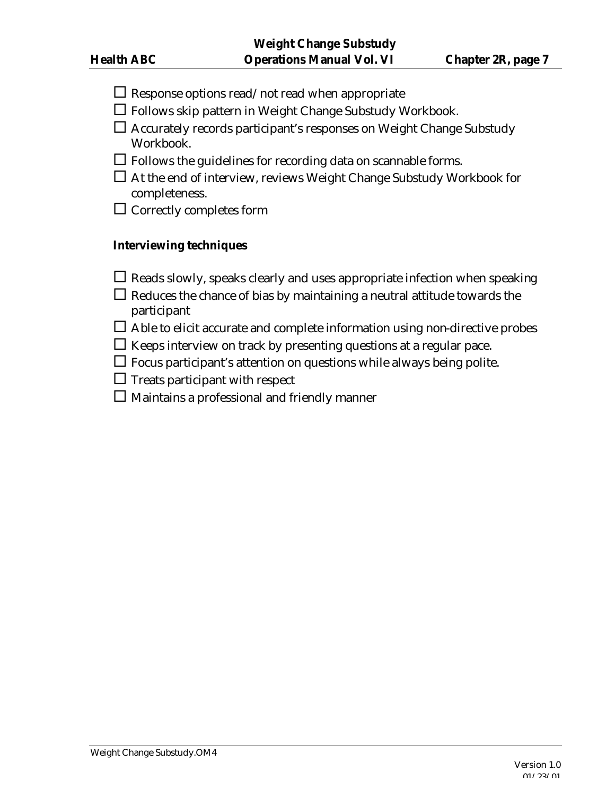- $\Box$  Response options read/not read when appropriate
- $\Box$  Follows skip pattern in Weight Change Substudy Workbook.
- $\square$  Accurately records participant's responses on Weight Change Substudy Workbook.
- $\Box$  Follows the guidelines for recording data on scannable forms.
- $\square$  At the end of interview, reviews Weight Change Substudy Workbook for completeness.
- $\square$  Correctly completes form

### **Interviewing techniques**

- $\square$  Reads slowly, speaks clearly and uses appropriate infection when speaking
- $\Box$  Reduces the chance of bias by maintaining a neutral attitude towards the participant
- $\Box$  Able to elicit accurate and complete information using non-directive probes
- $\Box$  Keeps interview on track by presenting questions at a regular pace.
- $\Box$  Focus participant's attention on questions while always being polite.
- $\Box$  Treats participant with respect
- $\square$  Maintains a professional and friendly manner